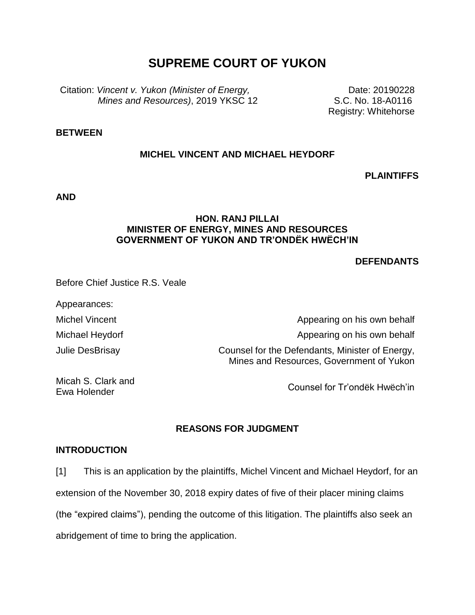# **SUPREME COURT OF YUKON**

Citation: *Vincent v. Yukon (Minister of Energy, Mines and Resources)*, 2019 YKSC 12

Date: 20190228 S.C. No. 18-A0116 Registry: Whitehorse

# **BETWEEN**

# **MICHEL VINCENT AND MICHAEL HEYDORF**

**PLAINTIFFS**

**AND**

## **HON. RANJ PILLAI MINISTER OF ENERGY, MINES AND RESOURCES GOVERNMENT OF YUKON AND TR'ONDËK HWËCH'IN**

#### **DEFENDANTS**

Before Chief Justice R.S. Veale

Appearances:

Michel Vincent Michael Heydorf

Julie DesBrisay

Appearing on his own behalf Appearing on his own behalf Counsel for the Defendants, Minister of Energy, Mines and Resources, Government of Yukon

Micah S. Clark and Ewa Holender

Counsel for Tr'ondëk Hwëch'in

# **REASONS FOR JUDGMENT**

## **INTRODUCTION**

[1] This is an application by the plaintiffs, Michel Vincent and Michael Heydorf, for an extension of the November 30, 2018 expiry dates of five of their placer mining claims (the "expired claims"), pending the outcome of this litigation. The plaintiffs also seek an abridgement of time to bring the application.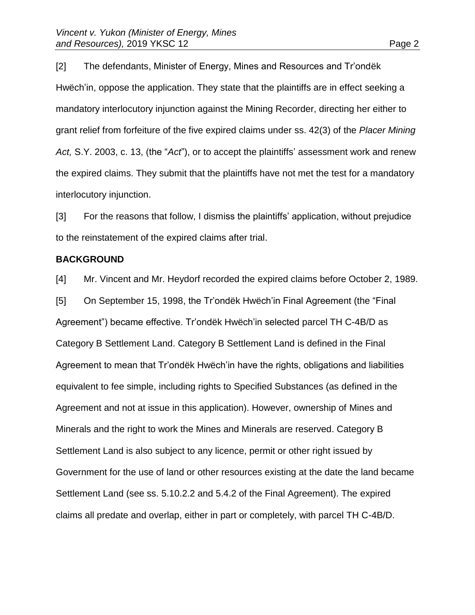[2] The defendants, Minister of Energy, Mines and Resources and Tr'ondëk Hwëch'in, oppose the application. They state that the plaintiffs are in effect seeking a mandatory interlocutory injunction against the Mining Recorder, directing her either to grant relief from forfeiture of the five expired claims under ss. 42(3) of the *Placer Mining Act,* S.Y. 2003, c. 13, (the "*Act*"), or to accept the plaintiffs' assessment work and renew the expired claims. They submit that the plaintiffs have not met the test for a mandatory interlocutory injunction.

[3] For the reasons that follow, I dismiss the plaintiffs' application, without prejudice to the reinstatement of the expired claims after trial.

#### **BACKGROUND**

[4] Mr. Vincent and Mr. Heydorf recorded the expired claims before October 2, 1989. [5] On September 15, 1998, the Tr'ondëk Hwëch'in Final Agreement (the "Final Agreement") became effective. Tr'ondëk Hwëch'in selected parcel TH C-4B/D as Category B Settlement Land. Category B Settlement Land is defined in the Final Agreement to mean that Tr'ondëk Hwëch'in have the rights, obligations and liabilities equivalent to fee simple, including rights to Specified Substances (as defined in the Agreement and not at issue in this application). However, ownership of Mines and Minerals and the right to work the Mines and Minerals are reserved. Category B Settlement Land is also subject to any licence, permit or other right issued by Government for the use of land or other resources existing at the date the land became Settlement Land (see ss. 5.10.2.2 and 5.4.2 of the Final Agreement). The expired claims all predate and overlap, either in part or completely, with parcel TH C-4B/D.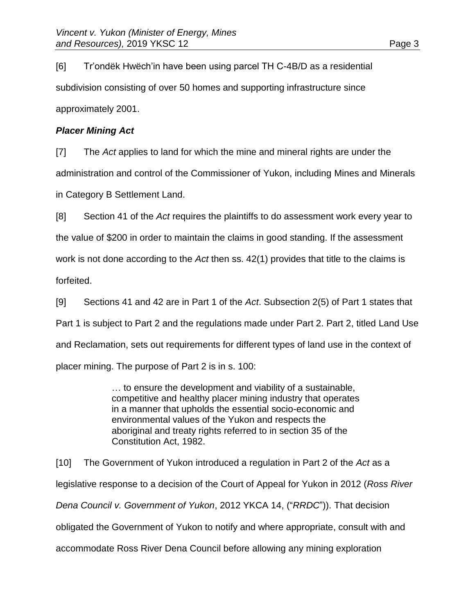[6] Tr'ondëk Hwëch'in have been using parcel TH C-4B/D as a residential subdivision consisting of over 50 homes and supporting infrastructure since approximately 2001.

# *Placer Mining Act*

[7] The *Act* applies to land for which the mine and mineral rights are under the administration and control of the Commissioner of Yukon, including Mines and Minerals in Category B Settlement Land.

[8] Section 41 of the *Act* requires the plaintiffs to do assessment work every year to the value of \$200 in order to maintain the claims in good standing. If the assessment work is not done according to the *Act* then ss. 42(1) provides that title to the claims is forfeited.

[9] Sections 41 and 42 are in Part 1 of the *Act*. Subsection 2(5) of Part 1 states that Part 1 is subject to Part 2 and the regulations made under Part 2. Part 2, titled Land Use and Reclamation, sets out requirements for different types of land use in the context of placer mining. The purpose of Part 2 is in s. 100:

> … to ensure the development and viability of a sustainable, competitive and healthy placer mining industry that operates in a manner that upholds the essential socio-economic and environmental values of the Yukon and respects the aboriginal and treaty rights referred to in section 35 of the Constitution Act, 1982.

[10] The Government of Yukon introduced a regulation in Part 2 of the *Act* as a legislative response to a decision of the Court of Appeal for Yukon in 2012 (*Ross River Dena Council v. Government of Yukon*, 2012 YKCA 14, ("*RRDC*")). That decision obligated the Government of Yukon to notify and where appropriate, consult with and accommodate Ross River Dena Council before allowing any mining exploration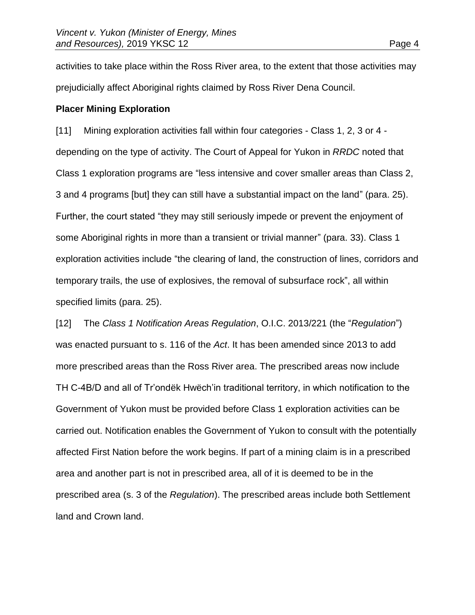activities to take place within the Ross River area, to the extent that those activities may prejudicially affect Aboriginal rights claimed by Ross River Dena Council.

#### **Placer Mining Exploration**

[11] Mining exploration activities fall within four categories - Class 1, 2, 3 or 4 depending on the type of activity. The Court of Appeal for Yukon in *RRDC* noted that Class 1 exploration programs are "less intensive and cover smaller areas than Class 2, 3 and 4 programs [but] they can still have a substantial impact on the land" (para. 25). Further, the court stated "they may still seriously impede or prevent the enjoyment of some Aboriginal rights in more than a transient or trivial manner" (para. 33). Class 1 exploration activities include "the clearing of land, the construction of lines, corridors and temporary trails, the use of explosives, the removal of subsurface rock", all within specified limits (para. 25).

[12] The *Class 1 Notification Areas Regulation*, O.I.C. 2013/221 (the "*Regulation*") was enacted pursuant to s. 116 of the *Act*. It has been amended since 2013 to add more prescribed areas than the Ross River area. The prescribed areas now include TH C-4B/D and all of Tr'ondëk Hwëch'in traditional territory, in which notification to the Government of Yukon must be provided before Class 1 exploration activities can be carried out. Notification enables the Government of Yukon to consult with the potentially affected First Nation before the work begins. If part of a mining claim is in a prescribed area and another part is not in prescribed area, all of it is deemed to be in the prescribed area (s. 3 of the *Regulation*). The prescribed areas include both Settlement land and Crown land.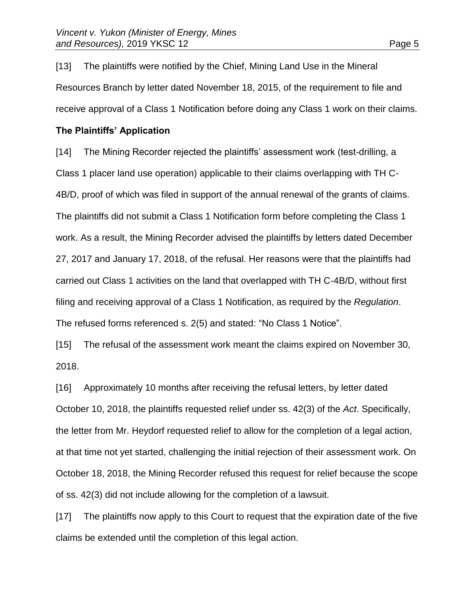[13] The plaintiffs were notified by the Chief, Mining Land Use in the Mineral Resources Branch by letter dated November 18, 2015, of the requirement to file and receive approval of a Class 1 Notification before doing any Class 1 work on their claims.

### **The Plaintiffs' Application**

[14] The Mining Recorder rejected the plaintiffs' assessment work (test-drilling, a Class 1 placer land use operation) applicable to their claims overlapping with TH C-4B/D, proof of which was filed in support of the annual renewal of the grants of claims. The plaintiffs did not submit a Class 1 Notification form before completing the Class 1 work. As a result, the Mining Recorder advised the plaintiffs by letters dated December 27, 2017 and January 17, 2018, of the refusal. Her reasons were that the plaintiffs had carried out Class 1 activities on the land that overlapped with TH C-4B/D, without first filing and receiving approval of a Class 1 Notification, as required by the *Regulation*. The refused forms referenced s. 2(5) and stated: "No Class 1 Notice".

[15] The refusal of the assessment work meant the claims expired on November 30, 2018.

[16] Approximately 10 months after receiving the refusal letters, by letter dated October 10, 2018, the plaintiffs requested relief under ss. 42(3) of the *Act*. Specifically, the letter from Mr. Heydorf requested relief to allow for the completion of a legal action, at that time not yet started, challenging the initial rejection of their assessment work. On October 18, 2018, the Mining Recorder refused this request for relief because the scope of ss. 42(3) did not include allowing for the completion of a lawsuit.

[17] The plaintiffs now apply to this Court to request that the expiration date of the five claims be extended until the completion of this legal action.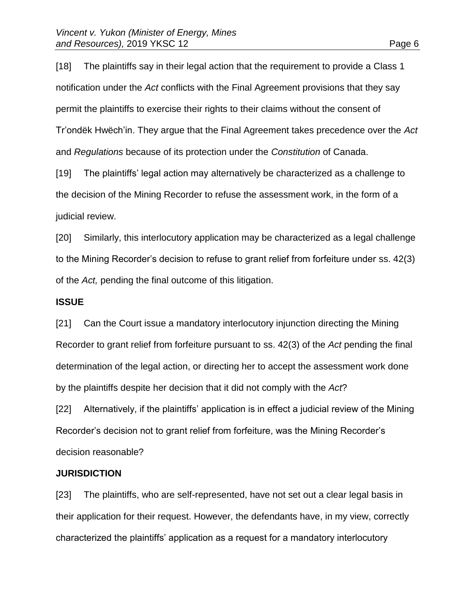[18] The plaintiffs say in their legal action that the requirement to provide a Class 1 notification under the *Act* conflicts with the Final Agreement provisions that they say permit the plaintiffs to exercise their rights to their claims without the consent of Tr'ondëk Hwëch'in. They argue that the Final Agreement takes precedence over the *Act* and *Regulations* because of its protection under the *Constitution* of Canada.

[19] The plaintiffs' legal action may alternatively be characterized as a challenge to the decision of the Mining Recorder to refuse the assessment work, in the form of a judicial review.

[20] Similarly, this interlocutory application may be characterized as a legal challenge to the Mining Recorder's decision to refuse to grant relief from forfeiture under ss. 42(3) of the *Act,* pending the final outcome of this litigation.

#### **ISSUE**

[21] Can the Court issue a mandatory interlocutory injunction directing the Mining Recorder to grant relief from forfeiture pursuant to ss. 42(3) of the *Act* pending the final determination of the legal action, or directing her to accept the assessment work done by the plaintiffs despite her decision that it did not comply with the *Act*?

[22] Alternatively, if the plaintiffs' application is in effect a judicial review of the Mining Recorder's decision not to grant relief from forfeiture, was the Mining Recorder's decision reasonable?

### **JURISDICTION**

[23] The plaintiffs, who are self-represented, have not set out a clear legal basis in their application for their request. However, the defendants have, in my view, correctly characterized the plaintiffs' application as a request for a mandatory interlocutory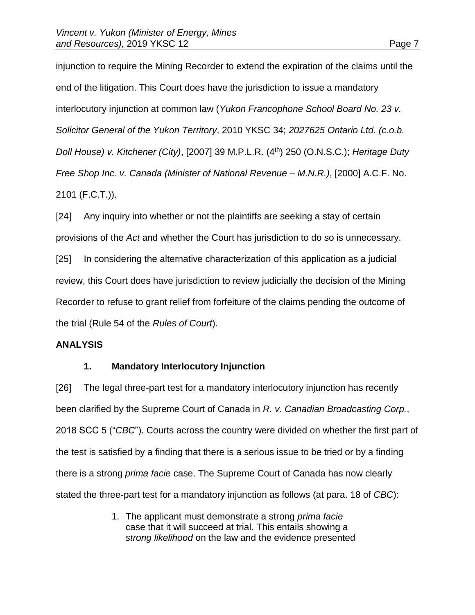injunction to require the Mining Recorder to extend the expiration of the claims until the end of the litigation. This Court does have the jurisdiction to issue a mandatory interlocutory injunction at common law (*Yukon Francophone School Board No. 23 v. Solicitor General of the Yukon Territory*, 2010 YKSC 34; *2027625 Ontario Ltd. (c.o.b. Doll House) v. Kitchener (City)*, [2007] 39 M.P.L.R. (4th) 250 (O.N.S.C.); *Heritage Duty Free Shop Inc. v. Canada (Minister of National Revenue – M.N.R.)*, [2000] A.C.F. No. 2101 (F.C.T.)).

[24] Any inquiry into whether or not the plaintiffs are seeking a stay of certain provisions of the *Act* and whether the Court has jurisdiction to do so is unnecessary. [25] In considering the alternative characterization of this application as a judicial review, this Court does have jurisdiction to review judicially the decision of the Mining Recorder to refuse to grant relief from forfeiture of the claims pending the outcome of the trial (Rule 54 of the *Rules of Court*).

# **ANALYSIS**

# **1. Mandatory Interlocutory Injunction**

[26] The legal three-part test for a mandatory interlocutory injunction has recently been clarified by the Supreme Court of Canada in *R. v. Canadian Broadcasting Corp.*, 2018 SCC 5 ("*CBC*"). Courts across the country were divided on whether the first part of the test is satisfied by a finding that there is a serious issue to be tried or by a finding there is a strong *prima facie* case. The Supreme Court of Canada has now clearly stated the three-part test for a mandatory injunction as follows (at para. 18 of *CBC*):

> 1. The applicant must demonstrate a strong *prima facie* case that it will succeed at trial. This entails showing a *strong likelihood* on the law and the evidence presented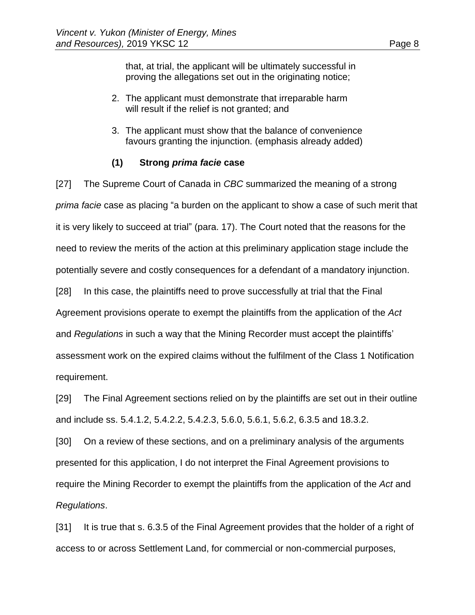that, at trial, the applicant will be ultimately successful in proving the allegations set out in the originating notice;

- 2. The applicant must demonstrate that irreparable harm will result if the relief is not granted; and
- 3. The applicant must show that the balance of convenience favours granting the injunction. (emphasis already added)

# **(1) Strong** *prima facie* **case**

[27] The Supreme Court of Canada in *CBC* summarized the meaning of a strong *prima facie* case as placing "a burden on the applicant to show a case of such merit that it is very likely to succeed at trial" (para. 17). The Court noted that the reasons for the need to review the merits of the action at this preliminary application stage include the potentially severe and costly consequences for a defendant of a mandatory injunction. [28] In this case, the plaintiffs need to prove successfully at trial that the Final

Agreement provisions operate to exempt the plaintiffs from the application of the *Act*

and *Regulations* in such a way that the Mining Recorder must accept the plaintiffs'

assessment work on the expired claims without the fulfilment of the Class 1 Notification requirement.

[29] The Final Agreement sections relied on by the plaintiffs are set out in their outline and include ss. 5.4.1.2, 5.4.2.2, 5.4.2.3, 5.6.0, 5.6.1, 5.6.2, 6.3.5 and 18.3.2.

[30] On a review of these sections, and on a preliminary analysis of the arguments presented for this application, I do not interpret the Final Agreement provisions to require the Mining Recorder to exempt the plaintiffs from the application of the *Act* and *Regulations*.

[31] It is true that s. 6.3.5 of the Final Agreement provides that the holder of a right of access to or across Settlement Land, for commercial or non-commercial purposes,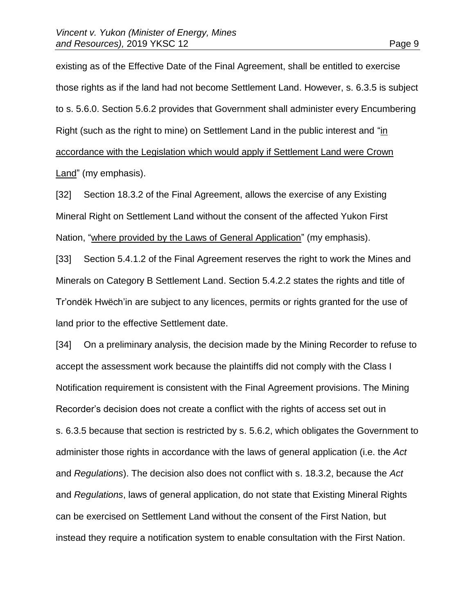existing as of the Effective Date of the Final Agreement, shall be entitled to exercise those rights as if the land had not become Settlement Land. However, s. 6.3.5 is subject to s. 5.6.0. Section 5.6.2 provides that Government shall administer every Encumbering Right (such as the right to mine) on Settlement Land in the public interest and "in accordance with the Legislation which would apply if Settlement Land were Crown Land" (my emphasis).

[32] Section 18.3.2 of the Final Agreement, allows the exercise of any Existing Mineral Right on Settlement Land without the consent of the affected Yukon First Nation, "where provided by the Laws of General Application" (my emphasis).

[33] Section 5.4.1.2 of the Final Agreement reserves the right to work the Mines and Minerals on Category B Settlement Land. Section 5.4.2.2 states the rights and title of Tr'ondëk Hwëch'in are subject to any licences, permits or rights granted for the use of land prior to the effective Settlement date.

[34] On a preliminary analysis, the decision made by the Mining Recorder to refuse to accept the assessment work because the plaintiffs did not comply with the Class I Notification requirement is consistent with the Final Agreement provisions. The Mining Recorder's decision does not create a conflict with the rights of access set out in s. 6.3.5 because that section is restricted by s. 5.6.2, which obligates the Government to administer those rights in accordance with the laws of general application (i.e. the *Act* and *Regulations*). The decision also does not conflict with s. 18.3.2, because the *Act* and *Regulations*, laws of general application, do not state that Existing Mineral Rights can be exercised on Settlement Land without the consent of the First Nation, but instead they require a notification system to enable consultation with the First Nation.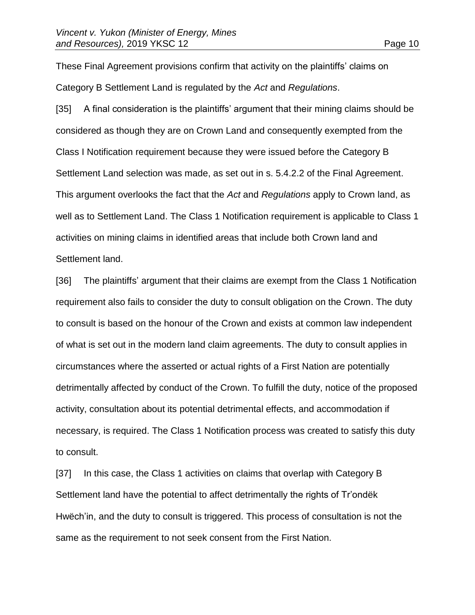These Final Agreement provisions confirm that activity on the plaintiffs' claims on Category B Settlement Land is regulated by the *Act* and *Regulations*.

[35] A final consideration is the plaintiffs' argument that their mining claims should be considered as though they are on Crown Land and consequently exempted from the Class I Notification requirement because they were issued before the Category B Settlement Land selection was made, as set out in s. 5.4.2.2 of the Final Agreement. This argument overlooks the fact that the *Act* and *Regulations* apply to Crown land, as well as to Settlement Land. The Class 1 Notification requirement is applicable to Class 1 activities on mining claims in identified areas that include both Crown land and Settlement land.

[36] The plaintiffs' argument that their claims are exempt from the Class 1 Notification requirement also fails to consider the duty to consult obligation on the Crown. The duty to consult is based on the honour of the Crown and exists at common law independent of what is set out in the modern land claim agreements. The duty to consult applies in circumstances where the asserted or actual rights of a First Nation are potentially detrimentally affected by conduct of the Crown. To fulfill the duty, notice of the proposed activity, consultation about its potential detrimental effects, and accommodation if necessary, is required. The Class 1 Notification process was created to satisfy this duty to consult.

[37] In this case, the Class 1 activities on claims that overlap with Category B Settlement land have the potential to affect detrimentally the rights of Tr'ondëk Hwëch'in, and the duty to consult is triggered. This process of consultation is not the same as the requirement to not seek consent from the First Nation.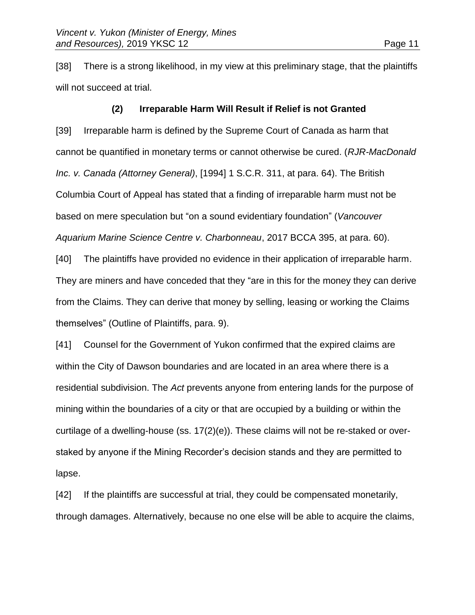[38] There is a strong likelihood, in my view at this preliminary stage, that the plaintiffs will not succeed at trial.

## **(2) Irreparable Harm Will Result if Relief is not Granted**

[39] Irreparable harm is defined by the Supreme Court of Canada as harm that cannot be quantified in monetary terms or cannot otherwise be cured. (*RJR-MacDonald Inc. v. Canada (Attorney General)*, [1994] 1 S.C.R. 311, at para. 64). The British Columbia Court of Appeal has stated that a finding of irreparable harm must not be based on mere speculation but "on a sound evidentiary foundation" (*Vancouver Aquarium Marine Science Centre v. Charbonneau*, 2017 BCCA 395, at para. 60).

[40] The plaintiffs have provided no evidence in their application of irreparable harm. They are miners and have conceded that they "are in this for the money they can derive from the Claims. They can derive that money by selling, leasing or working the Claims themselves" (Outline of Plaintiffs, para. 9).

[41] Counsel for the Government of Yukon confirmed that the expired claims are within the City of Dawson boundaries and are located in an area where there is a residential subdivision. The *Act* prevents anyone from entering lands for the purpose of mining within the boundaries of a city or that are occupied by a building or within the curtilage of a dwelling-house (ss. 17(2)(e)). These claims will not be re-staked or overstaked by anyone if the Mining Recorder's decision stands and they are permitted to lapse.

[42] If the plaintiffs are successful at trial, they could be compensated monetarily, through damages. Alternatively, because no one else will be able to acquire the claims,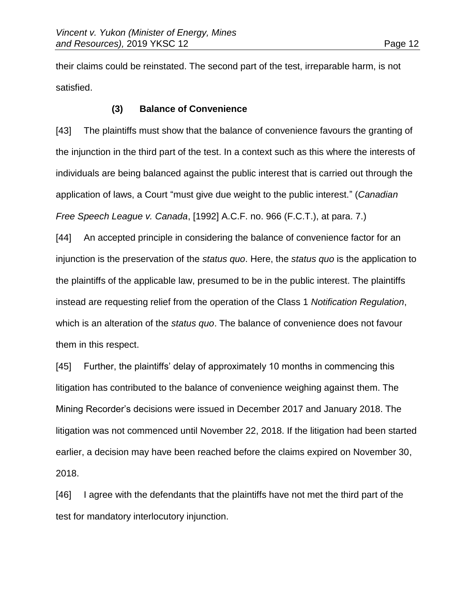their claims could be reinstated. The second part of the test, irreparable harm, is not satisfied.

# **(3) Balance of Convenience**

[43] The plaintiffs must show that the balance of convenience favours the granting of the injunction in the third part of the test. In a context such as this where the interests of individuals are being balanced against the public interest that is carried out through the application of laws, a Court "must give due weight to the public interest." (*Canadian Free Speech League v. Canada*, [1992] A.C.F. no. 966 (F.C.T.), at para. 7.)

[44] An accepted principle in considering the balance of convenience factor for an injunction is the preservation of the *status quo*. Here, the *status quo* is the application to the plaintiffs of the applicable law, presumed to be in the public interest. The plaintiffs instead are requesting relief from the operation of the Class 1 *Notification Regulation*, which is an alteration of the *status quo*. The balance of convenience does not favour them in this respect.

[45] Further, the plaintiffs' delay of approximately 10 months in commencing this litigation has contributed to the balance of convenience weighing against them. The Mining Recorder's decisions were issued in December 2017 and January 2018. The litigation was not commenced until November 22, 2018. If the litigation had been started earlier, a decision may have been reached before the claims expired on November 30, 2018.

[46] I agree with the defendants that the plaintiffs have not met the third part of the test for mandatory interlocutory injunction.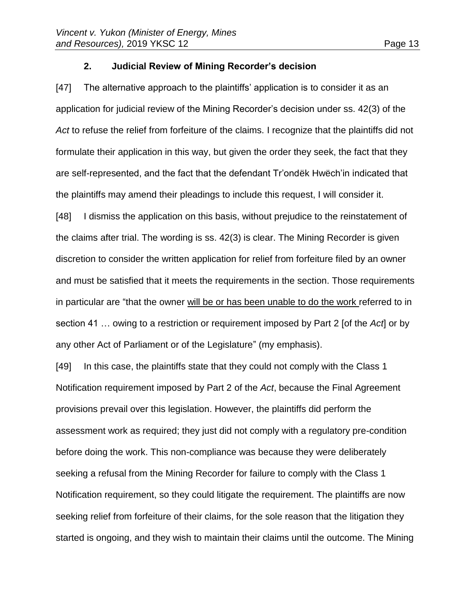# **2. Judicial Review of Mining Recorder's decision**

[47] The alternative approach to the plaintiffs' application is to consider it as an application for judicial review of the Mining Recorder's decision under ss. 42(3) of the *Act* to refuse the relief from forfeiture of the claims. I recognize that the plaintiffs did not formulate their application in this way, but given the order they seek, the fact that they are self-represented, and the fact that the defendant Tr'ondëk Hwëch'in indicated that the plaintiffs may amend their pleadings to include this request, I will consider it.

[48] I dismiss the application on this basis, without prejudice to the reinstatement of the claims after trial. The wording is ss. 42(3) is clear. The Mining Recorder is given discretion to consider the written application for relief from forfeiture filed by an owner and must be satisfied that it meets the requirements in the section. Those requirements in particular are "that the owner will be or has been unable to do the work referred to in section 41 … owing to a restriction or requirement imposed by Part 2 [of the *Act*] or by any other Act of Parliament or of the Legislature" (my emphasis).

[49] In this case, the plaintiffs state that they could not comply with the Class 1 Notification requirement imposed by Part 2 of the *Act*, because the Final Agreement provisions prevail over this legislation. However, the plaintiffs did perform the assessment work as required; they just did not comply with a regulatory pre-condition before doing the work. This non-compliance was because they were deliberately seeking a refusal from the Mining Recorder for failure to comply with the Class 1 Notification requirement, so they could litigate the requirement. The plaintiffs are now seeking relief from forfeiture of their claims, for the sole reason that the litigation they started is ongoing, and they wish to maintain their claims until the outcome. The Mining